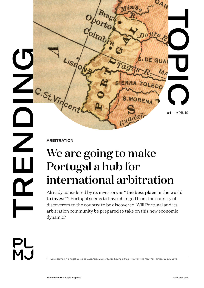

**ARBITRATION** 

## We are going to make Portugal a hub for international arbitration

Already considered by its investors as "the best place in the world to invest"**<sup>1</sup>** , Portugal seems to have changed from the country of discoverers to the country to be discovered. Will Portugal and its arbitration community be prepared to take on this new economic dynamic?

PL<br>MJ

 $\boldsymbol{\alpha}$ 

Liz Alderman, 'Portugal Dared to Cast Aside Austerity. It's having a Major Revival'. The New York Times, 22 July 2018.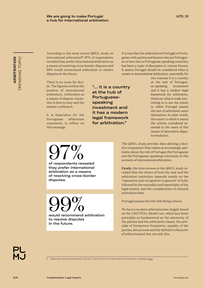Transformative Legal Experts www.plmj.com

2 2018 International Arbitration Survey: The Evolution of International Arbitration available [here.](http://www.arbitration.qmul.ac.uk/research/2018/)

**ARBITRATION** TRENDING TOPIC

**ARBITRATION** TRENDING TOPIC According to the most recent QMUL study on international arbitration**<sup>2</sup>**, 97% of respondents revealed they prefer international arbitration as a means of resolving cross-border disputes and 99% would recommend arbitration to resolve disputes in the future.

a hub for international arbitration

There is no room for doubt. The figures confirm the position of international arbitration. Arbitration as a means of dispute resolution is here to stay and the market confirms it.

It is imperative for the Portuguese arbitration community to reflect on this message.

97%

disputes.

of respondents revealed they prefer international arbitration as a means of resolving cross-border

OO<sub>O</sub><br>would recommend arbitration

to resolve disputes

in the future.

"… it is a country at the hub of Portuguesespeaking investment and it has a modern legal framework for arbitration."

It is true that the arbitration in Portugal, in Portuguese, with parties and lawyers who are Portuguese or have ties to Portuguese-speaking countries, has been a topic of discussion in various forums. It seems Portugal should be considered when it comes to international arbitration, essentially for

> two reasons: it is a country at the hub of Portuguese-speaking investment and it has a modern legal framework for arbitration. However, what is really interesting is to see the extent to which Portugal passes the test of arbitration users themselves. In other words, the extent to which it meets the criteria considered essential to the users of this means of alternative dispute resolution.

The QMUL study provides data allowing a decisive comparison that makes us increasingly optimistic about the role of Portugal, the Portuguese and the Portuguese-speaking community in this scenario of international arbitration.

Firstly, the interviewees in the QMUL study revealed that the choice of both the seat and the arbitration institution depends mainly on the "reputation and recognition in general" of both, followed by the neutrality and impartiality of the legal system, and the consideration of national arbitration laws.

Portugal passes the test with flying colours.

We have a modern arbitration law, largely based on the UNCITRAL Model Law, which lays down principles as fundamental as the autonomy of the parties and the arbitration clause, the principle of *Kompetenz-Kompetenz*, equality of the parties, fair process and the definitive character of arbitral award. But not only this.

2/4.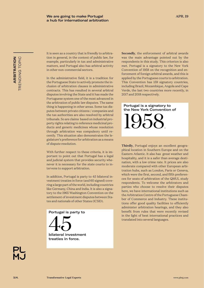TRENDING TOPIC **ARBITRATION** TRENDING TOPIC **ARBITRATION**

It is seen as a country that is friendly to arbitration in general, in the context of public law, for example, particularly in tax and administrative matters, and Portugal also has arbitral activity in other non-commercial sectors.

In the administrative field, it is a tradition for the Portuguese State to actively promote the inclusion of arbitration clauses in administrative contracts. This has resulted in several arbitral disputes involving the State and it has made the Portuguese system one of the most advanced in the arbitration of public law disputes. The same thing is happening in other areas. Some tax disputes between private citizens / companies and the tax authorities are also resolved by arbitral tribunals. So are claims based on industrial property rights relating to reference medicinal products and generic medicines whose resolution through arbitration was compulsory until recently. This situation also demonstrates the legislature's preference for arbitration as a means of dispute resolution.

With further respect to these criteria, it is important to point out that Portugal has a legal and judicial system that provides security whenever it is necessary for the state courts to intervene to support arbitration.

In addition, Portugal is party to 45 bilateral investment treaties in force (and 60 signed) covering a large part of the world, including countries like Germany, China and India. It is also a signatory to the 1965 Washington Convention on the settlement of investment disputes between States and nationals of other States (ICSID).

Portugal is party to 45 bilateral investment treaties in force.

Secondly, the enforcement of arbitral awards was the main advantage pointed out by the respondents in this study. This criterion is also met. Portugal is a signatory to the New York Convention of 1958 on the recognition and enforcement of foreign arbitral awards, and this is applied by the Portuguese courts to arbitration. This Convention has 159 signatory countries, including Brazil, Mozambique, Angola and Cape Verde, the last two countries more recently, in 2017 and 2018 respectively.

Portugal is a signatory to the New York Convention of

1958.

Thirdly, Portugal enjoys an excellent geographical location in Southern Europe and on the Eastern Atlantic. It also has great weather and hospitality, and it is a safer than average destination, with a low crime rate. It prices are also moderate compared with other European arbitration hubs, such as London, Paris or Geneva, which were the first, second, and fifth preferences for seats of arbitration of the QMUL study respondents. To welcome the arbitrators and parties who choose to resolve their disputes here, we have international institutions such as the Arbitration Centre of the Portuguese Chamber of Commerce and Industry. These institutions offer good quality facilities to efficiently administer arbitration hearings, and they also benefit from rules that were recently revised in the light of best international practices and translated into several languages.